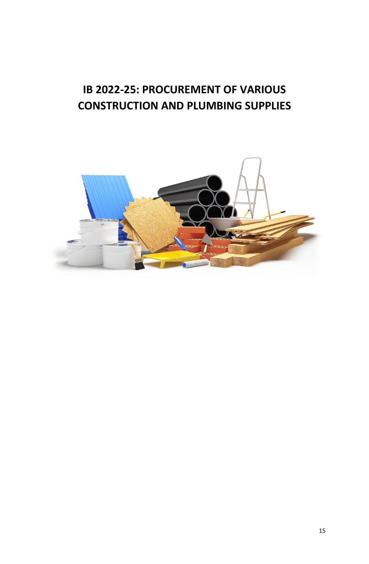## **IB 2022-25: PROCUREMENT OF VARIOUS CONSTRUCTION AND PLUMBING SUPPLIES**

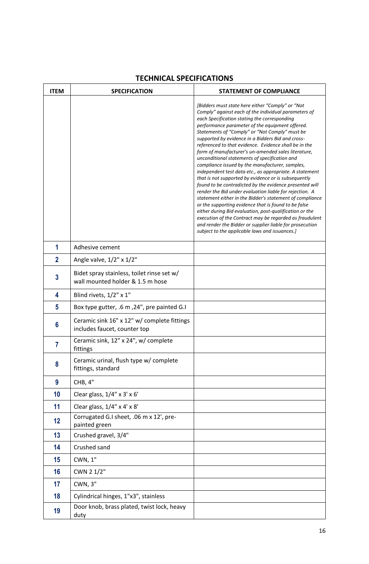| <b>ITEM</b>    | <b>SPECIFICATION</b>                                                           | <b>STATEMENT OF COMPLIANCE</b>                                                                                                                                                                                                                                                                                                                                                                                                                                                                                                                                                                                                                                                                                                                                                                                                                                                                                                                                                                                                                                                                                                          |
|----------------|--------------------------------------------------------------------------------|-----------------------------------------------------------------------------------------------------------------------------------------------------------------------------------------------------------------------------------------------------------------------------------------------------------------------------------------------------------------------------------------------------------------------------------------------------------------------------------------------------------------------------------------------------------------------------------------------------------------------------------------------------------------------------------------------------------------------------------------------------------------------------------------------------------------------------------------------------------------------------------------------------------------------------------------------------------------------------------------------------------------------------------------------------------------------------------------------------------------------------------------|
|                |                                                                                | [Bidders must state here either "Comply" or "Not<br>Comply" against each of the individual parameters of<br>each Specification stating the corresponding<br>performance parameter of the equipment offered.<br>Statements of "Comply" or "Not Comply" must be<br>supported by evidence in a Bidders Bid and cross-<br>referenced to that evidence. Evidence shall be in the<br>form of manufacturer's un-amended sales literature,<br>unconditional statements of specification and<br>compliance issued by the manufacturer, samples,<br>independent test data etc., as appropriate. A statement<br>that is not supported by evidence or is subsequently<br>found to be contradicted by the evidence presented will<br>render the Bid under evaluation liable for rejection. A<br>statement either in the Bidder's statement of compliance<br>or the supporting evidence that is found to be false<br>either during Bid evaluation, post-qualification or the<br>execution of the Contract may be regarded as fraudulent<br>and render the Bidder or supplier liable for prosecution<br>subject to the applicable laws and issuances.] |
| 1              | Adhesive cement                                                                |                                                                                                                                                                                                                                                                                                                                                                                                                                                                                                                                                                                                                                                                                                                                                                                                                                                                                                                                                                                                                                                                                                                                         |
| $\overline{2}$ | Angle valve, $1/2$ " x $1/2$ "                                                 |                                                                                                                                                                                                                                                                                                                                                                                                                                                                                                                                                                                                                                                                                                                                                                                                                                                                                                                                                                                                                                                                                                                                         |
| $\mathbf{3}$   | Bidet spray stainless, toilet rinse set w/<br>wall mounted holder & 1.5 m hose |                                                                                                                                                                                                                                                                                                                                                                                                                                                                                                                                                                                                                                                                                                                                                                                                                                                                                                                                                                                                                                                                                                                                         |
| 4              | Blind rivets, 1/2" x 1"                                                        |                                                                                                                                                                                                                                                                                                                                                                                                                                                                                                                                                                                                                                                                                                                                                                                                                                                                                                                                                                                                                                                                                                                                         |
| 5              | Box type gutter, .6 m, 24", pre painted G.I                                    |                                                                                                                                                                                                                                                                                                                                                                                                                                                                                                                                                                                                                                                                                                                                                                                                                                                                                                                                                                                                                                                                                                                                         |
| 6              | Ceramic sink 16" x 12" w/ complete fittings<br>includes faucet, counter top    |                                                                                                                                                                                                                                                                                                                                                                                                                                                                                                                                                                                                                                                                                                                                                                                                                                                                                                                                                                                                                                                                                                                                         |
| $\overline{7}$ | Ceramic sink, 12" x 24", w/ complete<br>fittings                               |                                                                                                                                                                                                                                                                                                                                                                                                                                                                                                                                                                                                                                                                                                                                                                                                                                                                                                                                                                                                                                                                                                                                         |
| 8              | Ceramic urinal, flush type w/ complete<br>fittings, standard                   |                                                                                                                                                                                                                                                                                                                                                                                                                                                                                                                                                                                                                                                                                                                                                                                                                                                                                                                                                                                                                                                                                                                                         |
| 9              | CHB, 4"                                                                        |                                                                                                                                                                                                                                                                                                                                                                                                                                                                                                                                                                                                                                                                                                                                                                                                                                                                                                                                                                                                                                                                                                                                         |
| 10             | Clear glass, 1/4" x 3' x 6'                                                    |                                                                                                                                                                                                                                                                                                                                                                                                                                                                                                                                                                                                                                                                                                                                                                                                                                                                                                                                                                                                                                                                                                                                         |
| 11             | Clear glass, 1/4" x 4' x 8'                                                    |                                                                                                                                                                                                                                                                                                                                                                                                                                                                                                                                                                                                                                                                                                                                                                                                                                                                                                                                                                                                                                                                                                                                         |
| 12             | Corrugated G.I sheet, .06 m x 12', pre-<br>painted green                       |                                                                                                                                                                                                                                                                                                                                                                                                                                                                                                                                                                                                                                                                                                                                                                                                                                                                                                                                                                                                                                                                                                                                         |
| 13             | Crushed gravel, 3/4"                                                           |                                                                                                                                                                                                                                                                                                                                                                                                                                                                                                                                                                                                                                                                                                                                                                                                                                                                                                                                                                                                                                                                                                                                         |
| 14             | Crushed sand                                                                   |                                                                                                                                                                                                                                                                                                                                                                                                                                                                                                                                                                                                                                                                                                                                                                                                                                                                                                                                                                                                                                                                                                                                         |
| 15             | CWN, 1"                                                                        |                                                                                                                                                                                                                                                                                                                                                                                                                                                                                                                                                                                                                                                                                                                                                                                                                                                                                                                                                                                                                                                                                                                                         |
| 16             | CWN 2 1/2"                                                                     |                                                                                                                                                                                                                                                                                                                                                                                                                                                                                                                                                                                                                                                                                                                                                                                                                                                                                                                                                                                                                                                                                                                                         |
| 17             | <b>CWN, 3"</b>                                                                 |                                                                                                                                                                                                                                                                                                                                                                                                                                                                                                                                                                                                                                                                                                                                                                                                                                                                                                                                                                                                                                                                                                                                         |
| 18             | Cylindrical hinges, 1"x3", stainless                                           |                                                                                                                                                                                                                                                                                                                                                                                                                                                                                                                                                                                                                                                                                                                                                                                                                                                                                                                                                                                                                                                                                                                                         |
| 19             | Door knob, brass plated, twist lock, heavy<br>duty                             |                                                                                                                                                                                                                                                                                                                                                                                                                                                                                                                                                                                                                                                                                                                                                                                                                                                                                                                                                                                                                                                                                                                                         |

## **TECHNICAL SPECIFICATIONS**

 $\mathbf{r}$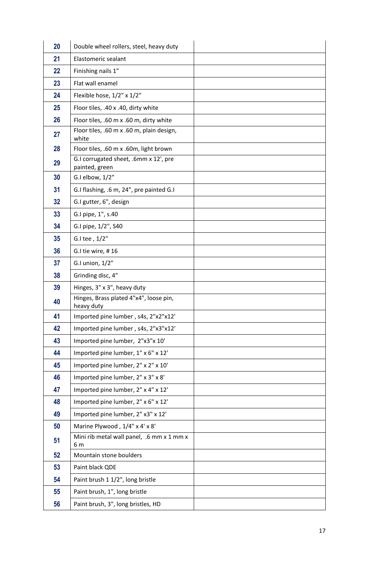| 20 | Double wheel rollers, steel, heavy duty                 |  |
|----|---------------------------------------------------------|--|
| 21 | Elastomeric sealant                                     |  |
| 22 | Finishing nails 1"                                      |  |
| 23 | Flat wall enamel                                        |  |
| 24 | Flexible hose, 1/2" x 1/2"                              |  |
| 25 | Floor tiles, .40 x .40, dirty white                     |  |
| 26 | Floor tiles, .60 m x .60 m, dirty white                 |  |
| 27 | Floor tiles, .60 m x .60 m, plain design,<br>white      |  |
| 28 | Floor tiles, .60 m x .60m, light brown                  |  |
| 29 | G.I corrugated sheet, .6mm x 12', pre<br>painted, green |  |
| 30 | G.I elbow, 1/2"                                         |  |
| 31 | G.I flashing, .6 m, 24", pre painted G.I                |  |
| 32 | G.I gutter, 6", design                                  |  |
| 33 | G.I pipe, 1", s.40                                      |  |
| 34 | G.I pipe, 1/2", S40                                     |  |
| 35 | G.I tee, 1/2"                                           |  |
| 36 | G.I tie wire, #16                                       |  |
| 37 | G.I union, $1/2$ "                                      |  |
| 38 | Grinding disc, 4"                                       |  |
| 39 | Hinges, 3" x 3", heavy duty                             |  |
| 40 | Hinges, Brass plated 4"x4", loose pin,<br>heavy duty    |  |
| 41 | Imported pine lumber, s4s, 2"x2"x12'                    |  |
| 42 | Imported pine lumber, s4s, 2"x3"x12'                    |  |
| 43 | Imported pine lumber, 2"x3"x 10'                        |  |
| 44 | Imported pine lumber, 1" x 6" x 12'                     |  |
| 45 | Imported pine lumber, 2" x 2" x 10'                     |  |
| 46 | Imported pine lumber, 2" x 3" x 8'                      |  |
| 47 | Imported pine lumber, 2" x 4" x 12'                     |  |
| 48 | Imported pine lumber, 2" x 6" x 12'                     |  |
| 49 | Imported pine lumber, 2" x3" x 12'                      |  |
| 50 | Marine Plywood, 1/4" x 4' x 8'                          |  |
| 51 | Mini rib metal wall panel, .6 mm x 1 mm x<br>6 m        |  |
| 52 | Mountain stone boulders                                 |  |
| 53 | Paint black QDE                                         |  |
| 54 | Paint brush 1 1/2", long bristle                        |  |
| 55 | Paint brush, 1", long bristle                           |  |
| 56 | Paint brush, 3", long bristles, HD                      |  |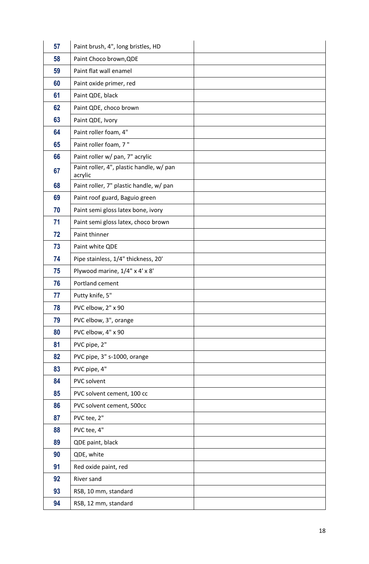| 57 | Paint brush, 4", long bristles, HD                  |  |
|----|-----------------------------------------------------|--|
| 58 | Paint Choco brown, QDE                              |  |
| 59 | Paint flat wall enamel                              |  |
| 60 | Paint oxide primer, red                             |  |
| 61 | Paint QDE, black                                    |  |
| 62 | Paint QDE, choco brown                              |  |
| 63 | Paint QDE, Ivory                                    |  |
| 64 | Paint roller foam, 4"                               |  |
| 65 | Paint roller foam, 7"                               |  |
| 66 | Paint roller w/ pan, 7" acrylic                     |  |
| 67 | Paint roller, 4", plastic handle, w/ pan<br>acrylic |  |
| 68 | Paint roller, 7" plastic handle, w/ pan             |  |
| 69 | Paint roof guard, Baguio green                      |  |
| 70 | Paint semi gloss latex bone, ivory                  |  |
| 71 | Paint semi gloss latex, choco brown                 |  |
| 72 | Paint thinner                                       |  |
| 73 | Paint white QDE                                     |  |
| 74 | Pipe stainless, 1/4" thickness, 20'                 |  |
| 75 | Plywood marine, 1/4" x 4' x 8'                      |  |
| 76 | Portland cement                                     |  |
| 77 | Putty knife, 5"                                     |  |
| 78 | PVC elbow, 2" x 90                                  |  |
| 79 | PVC elbow, 3", orange                               |  |
| 80 | PVC elbow, 4" x 90                                  |  |
| 81 | PVC pipe, 2"                                        |  |
| 82 | PVC pipe, 3" s-1000, orange                         |  |
| 83 | PVC pipe, 4"                                        |  |
| 84 | PVC solvent                                         |  |
| 85 | PVC solvent cement, 100 cc                          |  |
| 86 | PVC solvent cement, 500cc                           |  |
| 87 | PVC tee, 2"                                         |  |
| 88 | PVC tee, 4"                                         |  |
| 89 | QDE paint, black                                    |  |
| 90 | QDE, white                                          |  |
| 91 | Red oxide paint, red                                |  |
| 92 | River sand                                          |  |
| 93 | RSB, 10 mm, standard                                |  |
| 94 | RSB, 12 mm, standard                                |  |